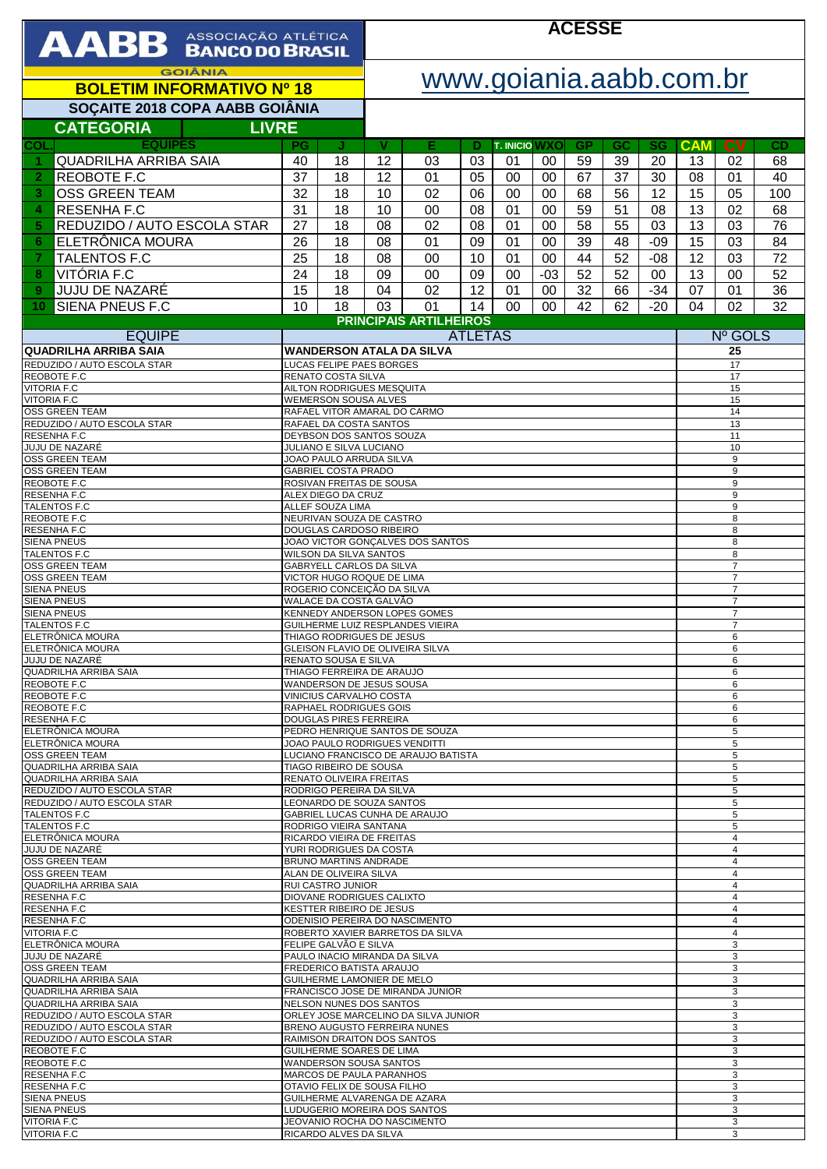| AABB ASSOCIAÇÃO ATLÉTICA                                                       |                                                                                   |                                                              | <b>ACESSE</b> |                                      |          |                            |             |                 |                                  |                                  |                                  |                                  |          |  |
|--------------------------------------------------------------------------------|-----------------------------------------------------------------------------------|--------------------------------------------------------------|---------------|--------------------------------------|----------|----------------------------|-------------|-----------------|----------------------------------|----------------------------------|----------------------------------|----------------------------------|----------|--|
| <b>GOIÂNIA</b><br><b>BOLETIM INFORMATIVO Nº 18</b>                             |                                                                                   |                                                              |               | www.goiania.aabb.com.br              |          |                            |             |                 |                                  |                                  |                                  |                                  |          |  |
| SOÇAITE 2018 COPA AABB GOIÂNIA                                                 |                                                                                   |                                                              |               |                                      |          |                            |             |                 |                                  |                                  |                                  |                                  |          |  |
| <b>CATEGORIA</b><br><b>LIVRE</b>                                               |                                                                                   |                                                              |               |                                      |          |                            |             |                 |                                  |                                  |                                  |                                  |          |  |
| <b>EQUIPES</b><br>COL.<br><b>QUADRILHA ARRIBA SAIA</b><br>$\blacktriangleleft$ | PG<br>40                                                                          | J<br>18                                                      | V<br>12       | Е<br>03                              | Ð<br>03  | <b>T. INICIO WXO</b><br>01 | 00          | <b>GP</b><br>59 | GC<br>39                         | <b>SG</b><br>20                  | <b>CAM</b><br>13                 | $\mathbf{c}\mathbf{v}$<br>02     | CD<br>68 |  |
| <b>REOBOTE F.C</b><br>$\overline{2}$                                           | 37                                                                                | 18                                                           | 12            | 01                                   | 05       | 00                         | 00          | 67              | 37                               | 30                               | 08                               | 01                               | 40       |  |
| <b>OSS GREEN TEAM</b><br>3<br><b>RESENHAF.C</b>                                | 32                                                                                | 18                                                           | 10            | 02                                   | 06       | 00                         | 00          | 68              | 56                               | 12                               | 15                               | 05                               | 100      |  |
| 4<br>5<br>REDUZIDO / AUTO ESCOLA STAR                                          | 31<br>27                                                                          | 18<br>18                                                     | 10<br>08      | 00<br>02                             | 08<br>08 | 01<br>01                   | 00<br>00    | 59<br>58        | 51<br>55                         | 08<br>03                         | 13<br>13                         | 02<br>03                         | 68<br>76 |  |
| ELETRÔNICA MOURA<br>6                                                          | 26                                                                                | 18                                                           | 08            | 01                                   | 09       | 01                         | 00          | 39              | 48                               | $-09$                            | 15                               | 03                               | 84       |  |
| <b>TALENTOS F.C</b><br>$\overline{7}$                                          | 25                                                                                | 18                                                           | 08            | 00                                   | 10       | 01                         | 00          | 44              | 52                               | $-08$                            | 12                               | 03                               | 72       |  |
| VITÓRIA F.C<br>8<br>JUJU DE NAZARÉ<br>9                                        | 24<br>15                                                                          | 18<br>18                                                     | 09<br>04      | 00<br>02                             | 09<br>12 | 00<br>01                   | $-03$<br>00 | 52<br>32        | 52<br>66                         | 00<br>$-34$                      | 13<br>07                         | 00<br>01                         | 52<br>36 |  |
| SIENA PNEUS F.C<br>10                                                          | 10                                                                                | 18                                                           | 03            | 01                                   | 14       | 00                         | 00          | 42              | 62                               | $-20$                            | 04                               | 02                               | 32       |  |
| <b>EQUIPE</b>                                                                  |                                                                                   |                                                              |               | <b>PRINCIPAIS ARTILHEIROS</b>        |          |                            |             |                 |                                  |                                  |                                  | Nº GOLS                          |          |  |
| <b>QUADRILHA ARRIBA SAIA</b>                                                   |                                                                                   | <b>ATLETAS</b><br><b>WANDERSON ATALA DA SILVA</b><br>25      |               |                                      |          |                            |             |                 |                                  |                                  |                                  |                                  |          |  |
| REDUZIDO / AUTO ESCOLA STAR<br><b>REOBOTE F.C</b>                              | LUCAS FELIPE PAES BORGES<br>17<br>RENATO COSTA SILVA<br>17                        |                                                              |               |                                      |          |                            |             |                 |                                  |                                  |                                  |                                  |          |  |
| <b>VITORIA F.C</b><br><b>VITORIA F.C</b>                                       | AILTON RODRIGUES MESQUITA<br>15                                                   |                                                              |               |                                      |          |                            |             |                 |                                  |                                  |                                  |                                  |          |  |
| <b>OSS GREEN TEAM</b><br>REDUZIDO / AUTO ESCOLA STAR                           | WEMERSON SOUSA ALVES<br>15<br>RAFAEL VITOR AMARAL DO CARMO<br>14                  |                                                              |               |                                      |          |                            |             |                 |                                  |                                  |                                  |                                  |          |  |
| RESENHA F.C                                                                    | RAFAEL DA COSTA SANTOS<br>13<br>DEYBSON DOS SANTOS SOUZA                          |                                                              |               |                                      |          |                            |             |                 |                                  | 11                               |                                  |                                  |          |  |
| JUJU DE NAZARÉ<br><b>OSS GREEN TEAM</b>                                        | JULIANO E SILVA LUCIANO<br>10<br>9<br>JOAO PAULO ARRUDA SILVA                     |                                                              |               |                                      |          |                            |             |                 |                                  |                                  |                                  |                                  |          |  |
| <b>OSS GREEN TEAM</b><br>REOBOTE F.C                                           | 9<br><b>GABRIEL COSTA PRADO</b><br>ROSIVAN FREITAS DE SOUSA<br>9                  |                                                              |               |                                      |          |                            |             |                 |                                  |                                  |                                  |                                  |          |  |
| RESENHA F.C<br>TALENTOS F.C                                                    | ALEX DIEGO DA CRUZ<br>ALLEF SOUZA LIMA                                            |                                                              |               |                                      |          |                            |             |                 |                                  |                                  | 9<br>9                           |                                  |          |  |
| REOBOTE F.C<br><b>RESENHA F.C</b>                                              | NEURIVAN SOUZA DE CASTRO<br>8                                                     |                                                              |               |                                      |          |                            |             |                 |                                  |                                  |                                  |                                  |          |  |
| <b>SIENA PNEUS</b>                                                             | DOUGLAS CARDOSO RIBEIRO<br>8<br>JOAO VICTOR GONÇALVES DOS SANTOS<br>8             |                                                              |               |                                      |          |                            |             |                 |                                  |                                  |                                  |                                  |          |  |
| <b>TALENTOS F.C</b><br><b>OSS GREEN TEAM</b>                                   | <b>WILSON DA SILVA SANTOS</b><br>8<br>$\overline{7}$<br>GABRYELL CARLOS DA SILVA  |                                                              |               |                                      |          |                            |             |                 |                                  |                                  |                                  |                                  |          |  |
| OSS GREEN TEAM<br><b>SIENA PNEUS</b>                                           | VICTOR HUGO ROQUE DE LIMA<br>ROGERIO CONCEIÇÃO DA SILVA                           |                                                              |               |                                      |          |                            |             |                 |                                  |                                  | $\overline{7}$<br>$\overline{7}$ |                                  |          |  |
| <b>SIENA PNEUS</b><br><b>SIENA PNEUS</b>                                       |                                                                                   | WALACE DA COSTA GALVÃO                                       |               |                                      |          |                            |             |                 |                                  |                                  |                                  | $\overline{7}$<br>$\overline{7}$ |          |  |
| TALENTOS F.C<br>ELETRÔNICA MOURA                                               | KENNEDY ANDERSON LOPES GOMES<br>GUILHERME LUIZ RESPLANDES VIEIRA                  |                                                              |               |                                      |          |                            |             |                 | $\overline{7}$<br>6              |                                  |                                  |                                  |          |  |
| ELETRÔNICA MOURA                                                               | THIAGO RODRIGUES DE JESUS<br>GLEISON FLAVIO DE OLIVEIRA SILVA                     |                                                              |               |                                      |          |                            |             |                 | 6                                |                                  |                                  |                                  |          |  |
| JUJU DE NAZARÉ<br>QUADRILHA ARRIBA SAIA                                        | RENATO SOUSA E SILVA<br>6<br>THIAGO FERREIRA DE ARAUJO<br>6                       |                                                              |               |                                      |          |                            |             |                 |                                  |                                  |                                  |                                  |          |  |
| REOBOTE F.C<br>REOBOTE F.C                                                     | WANDERSON DE JESUS SOUSA<br>VINICIUS CARVALHO COSTA                               |                                                              |               |                                      |          |                            |             |                 | 6<br>6                           |                                  |                                  |                                  |          |  |
| REOBOTE F.C<br>RESENHA F.C                                                     | <b>RAPHAEL RODRIGUES GOIS</b><br><b>DOUGLAS PIRES FERREIRA</b>                    |                                                              |               |                                      |          |                            |             |                 | 6<br>6                           |                                  |                                  |                                  |          |  |
| ELETRÔNICA MOURA<br>ELETRÔNICA MOURA                                           | PEDRO HENRIQUE SANTOS DE SOUZA                                                    |                                                              |               |                                      |          |                            |             |                 | 5                                |                                  |                                  |                                  |          |  |
| OSS GREEN TEAM                                                                 | JOAO PAULO RODRIGUES VENDITTI<br>LUCIANO FRANCISCO DE ARAUJO BATISTA              |                                                              |               |                                      |          |                            |             |                 | 5<br>5                           |                                  |                                  |                                  |          |  |
| QUADRILHA ARRIBA SAIA<br>QUADRILHA ARRIBA SAIA                                 | TIAGO RIBEIRO DE SOUSA<br>RENATO OLIVEIRA FREITAS                                 |                                                              |               |                                      |          |                            |             |                 | 5<br>5                           |                                  |                                  |                                  |          |  |
| REDUZIDO / AUTO ESCOLA STAR<br>REDUZIDO / AUTO ESCOLA STAR                     | RODRIGO PEREIRA DA SILVA<br>LEONARDO DE SOUZA SANTOS                              |                                                              |               |                                      |          |                            |             | 5<br>5          |                                  |                                  |                                  |                                  |          |  |
| TALENTOS F.C<br><b>TALENTOS F.C</b>                                            | GABRIEL LUCAS CUNHA DE ARAUJO<br>RODRIGO VIEIRA SANTANA                           |                                                              |               |                                      |          |                            |             | 5<br>5          |                                  |                                  |                                  |                                  |          |  |
| ELETRÖNICA MOURA<br>JUJU DE NAZARÉ                                             | RICARDO VIEIRA DE FREITAS                                                         |                                                              |               |                                      |          |                            |             |                 |                                  | $\overline{4}$<br>$\overline{4}$ |                                  |                                  |          |  |
| OSS GREEN TEAM                                                                 | YURI RODRIGUES DA COSTA<br>BRUNO MARTINS ANDRADE<br>ALAN DE OLIVEIRA SILVA        |                                                              |               |                                      |          |                            |             |                 | $\overline{4}$                   |                                  |                                  |                                  |          |  |
| OSS GREEN TEAM<br>QUADRILHA ARRIBA SAIA                                        |                                                                                   | <b>RUI CASTRO JUNIOR</b>                                     |               |                                      |          |                            |             |                 |                                  |                                  |                                  | $\overline{4}$<br>$\overline{4}$ |          |  |
| RESENHA F.C<br>RESENHA F.C                                                     |                                                                                   | DIOVANE RODRIGUES CALIXTO<br><b>KESTTER RIBEIRO DE JESUS</b> |               |                                      |          |                            |             |                 |                                  |                                  |                                  | $\overline{4}$<br>$\overline{4}$ |          |  |
| RESENHA F.C<br><b>VITORIA F.C</b>                                              | ODENISIO PEREIRA DO NASCIMENTO<br>ROBERTO XAVIER BARRETOS DA SILVA                |                                                              |               |                                      |          |                            |             |                 | $\overline{4}$<br>$\overline{4}$ |                                  |                                  |                                  |          |  |
| ELETRÖNICA MOURA<br>JUJU DE NAZARÉ                                             |                                                                                   | FELIPE GALVÃO E SILVA<br>PAULO INACIO MIRANDA DA SILVA       |               |                                      |          |                            |             |                 |                                  |                                  | 3<br>3                           |                                  |          |  |
| <b>OSS GREEN TEAM</b>                                                          |                                                                                   | FREDERICO BATISTA ARAUJO                                     |               |                                      |          |                            |             |                 |                                  |                                  | 3                                |                                  |          |  |
| QUADRILHA ARRIBA SAIA<br>QUADRILHA ARRIBA SAIA                                 |                                                                                   | GUILHERME LAMONIER DE MELO                                   |               | FRANCISCO JOSE DE MIRANDA JUNIOR     |          |                            |             |                 |                                  |                                  |                                  | 3<br>3                           |          |  |
| QUADRILHA ARRIBA SAIA<br>REDUZIDO / AUTO ESCOLA STAR                           |                                                                                   | NELSON NUNES DOS SANTOS                                      |               | ORLEY JOSE MARCELINO DA SILVA JUNIOR |          |                            |             |                 |                                  |                                  | 3<br>3                           |                                  |          |  |
| REDUZIDO / AUTO ESCOLA STAR<br>REDUZIDO / AUTO ESCOLA STAR                     |                                                                                   |                                                              |               | BRENO AUGUSTO FERREIRA NUNES         |          |                            |             |                 |                                  |                                  | 3<br>3                           |                                  |          |  |
| REOBOTE F.C<br>REOBOTE F.C                                                     | RAIMISON DRAITON DOS SANTOS<br>GUILHERME SOARES DE LIMA<br>WANDERSON SOUSA SANTOS |                                                              |               |                                      |          |                            |             |                 | 3<br>3                           |                                  |                                  |                                  |          |  |
| RESENHA F.C<br>RESENHA F.C                                                     | MARCOS DE PAULA PARANHOS<br>OTAVIO FELIX DE SOUSA FILHO                           |                                                              |               |                                      |          |                            |             |                 | 3<br>3                           |                                  |                                  |                                  |          |  |
| <b>SIENA PNEUS</b>                                                             | GUILHERME ALVARENGA DE AZARA<br>LUDUGERIO MOREIRA DOS SANTOS                      |                                                              |               |                                      |          |                            |             |                 | 3                                |                                  |                                  |                                  |          |  |
| <b>SIENA PNEUS</b><br><b>VITORIA F.C</b>                                       |                                                                                   | JEOVANIO ROCHA DO NASCIMENTO                                 |               |                                      |          |                            |             |                 |                                  |                                  |                                  | 3<br>3                           |          |  |
| <b>VITORIA F.C</b>                                                             |                                                                                   | RICARDO ALVES DA SILVA                                       |               |                                      |          |                            |             |                 |                                  |                                  |                                  | 3                                |          |  |